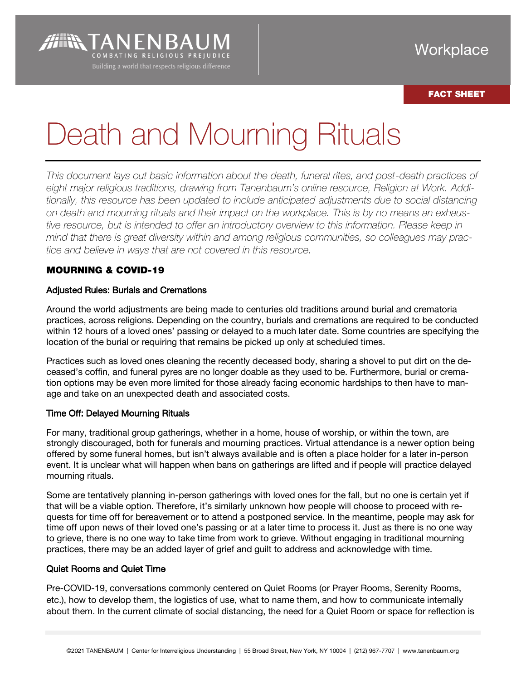# FACT SHEET

# Death and Mourning Rituals

*This document lays out basic information about the death, funeral rites, and post-death practices of eight major religious traditions, drawing from Tanenbaum's online resource, Religion at Work. Additionally, this resource has been updated to include anticipated adjustments due to social distancing on death and mourning rituals and their impact on the workplace. This is by no means an exhaustive resource, but is intended to offer an introductory overview to this information. Please keep in mind that there is great diversity within and among religious communities, so colleagues may practice and believe in ways that are not covered in this resource.* 

# MOURNING & COVID-19

**AIR TANENBA** 

COMBATING RELIGIOUS PREIUDICE

## Adjusted Rules: Burials and Cremations

Around the world adjustments are being made to centuries old traditions around burial and crematoria practices, across religions. Depending on the country, burials and cremations are required to be conducted within 12 hours of a loved ones' passing or delayed to a much later date. Some countries are specifying the location of the burial or requiring that remains be picked up only at scheduled times.

Practices such as loved ones cleaning the recently deceased body, sharing a shovel to put dirt on the deceased's coffin, and funeral pyres are no longer doable as they used to be. Furthermore, burial or cremation options may be even more limited for those already facing economic hardships to then have to manage and take on an unexpected death and associated costs.

#### Time Off: Delayed Mourning Rituals

For many, traditional group gatherings, whether in a home, house of worship, or within the town, are strongly discouraged, both for funerals and mourning practices. Virtual attendance is a newer option being offered by some funeral homes, but isn't always available and is often a place holder for a later in-person event. It is unclear what will happen when bans on gatherings are lifted and if people will practice delayed mourning rituals.

Some are tentatively planning in-person gatherings with loved ones for the fall, but no one is certain yet if that will be a viable option. Therefore, it's similarly unknown how people will choose to proceed with requests for time off for bereavement or to attend a postponed service. In the meantime, people may ask for time off upon news of their loved one's passing or at a later time to process it. Just as there is no one way to grieve, there is no one way to take time from work to grieve. Without engaging in traditional mourning practices, there may be an added layer of grief and guilt to address and acknowledge with time.

#### Quiet Rooms and Quiet Time

Pre-COVID-19, conversations commonly centered on Quiet Rooms (or Prayer Rooms, Serenity Rooms, etc.), how to develop them, the logistics of use, what to name them, and how to communicate internally about them. In the current climate of social distancing, the need for a Quiet Room or space for reflection is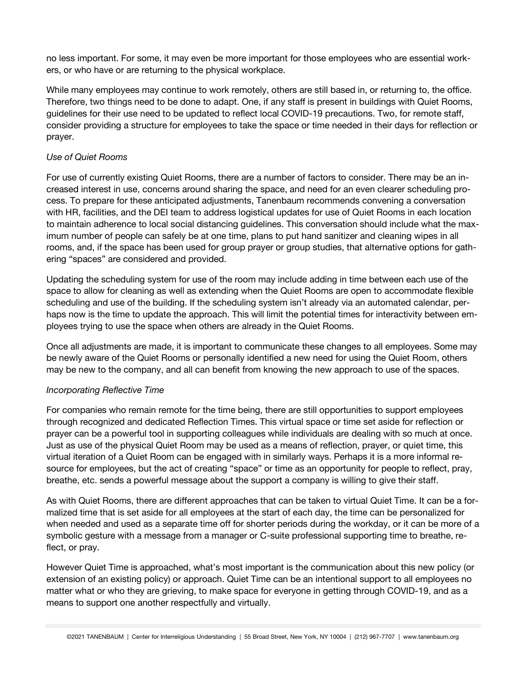no less important. For some, it may even be more important for those employees who are essential workers, or who have or are returning to the physical workplace.

While many employees may continue to work remotely, others are still based in, or returning to, the office. Therefore, two things need to be done to adapt. One, if any staff is present in buildings with Quiet Rooms, guidelines for their use need to be updated to reflect local COVID-19 precautions. Two, for remote staff, consider providing a structure for employees to take the space or time needed in their days for reflection or prayer.

### *Use of Quiet Rooms*

For use of currently existing Quiet Rooms, there are a number of factors to consider. There may be an increased interest in use, concerns around sharing the space, and need for an even clearer scheduling process. To prepare for these anticipated adjustments, Tanenbaum recommends convening a conversation with HR, facilities, and the DEI team to address logistical updates for use of Quiet Rooms in each location to maintain adherence to local social distancing guidelines. This conversation should include what the maximum number of people can safely be at one time, plans to put hand sanitizer and cleaning wipes in all rooms, and, if the space has been used for group prayer or group studies, that alternative options for gathering "spaces" are considered and provided.

Updating the scheduling system for use of the room may include adding in time between each use of the space to allow for cleaning as well as extending when the Quiet Rooms are open to accommodate flexible scheduling and use of the building. If the scheduling system isn't already via an automated calendar, perhaps now is the time to update the approach. This will limit the potential times for interactivity between employees trying to use the space when others are already in the Quiet Rooms.

Once all adjustments are made, it is important to communicate these changes to all employees. Some may be newly aware of the Quiet Rooms or personally identified a new need for using the Quiet Room, others may be new to the company, and all can benefit from knowing the new approach to use of the spaces.

## *Incorporating Reflective Time*

For companies who remain remote for the time being, there are still opportunities to support employees through recognized and dedicated Reflection Times. This virtual space or time set aside for reflection or prayer can be a powerful tool in supporting colleagues while individuals are dealing with so much at once. Just as use of the physical Quiet Room may be used as a means of reflection, prayer, or quiet time, this virtual iteration of a Quiet Room can be engaged with in similarly ways. Perhaps it is a more informal resource for employees, but the act of creating "space" or time as an opportunity for people to reflect, pray, breathe, etc. sends a powerful message about the support a company is willing to give their staff.

As with Quiet Rooms, there are different approaches that can be taken to virtual Quiet Time. It can be a formalized time that is set aside for all employees at the start of each day, the time can be personalized for when needed and used as a separate time off for shorter periods during the workday, or it can be more of a symbolic gesture with a message from a manager or C-suite professional supporting time to breathe, reflect, or pray.

However Quiet Time is approached, what's most important is the communication about this new policy (or extension of an existing policy) or approach. Quiet Time can be an intentional support to all employees no matter what or who they are grieving, to make space for everyone in getting through COVID-19, and as a means to support one another respectfully and virtually.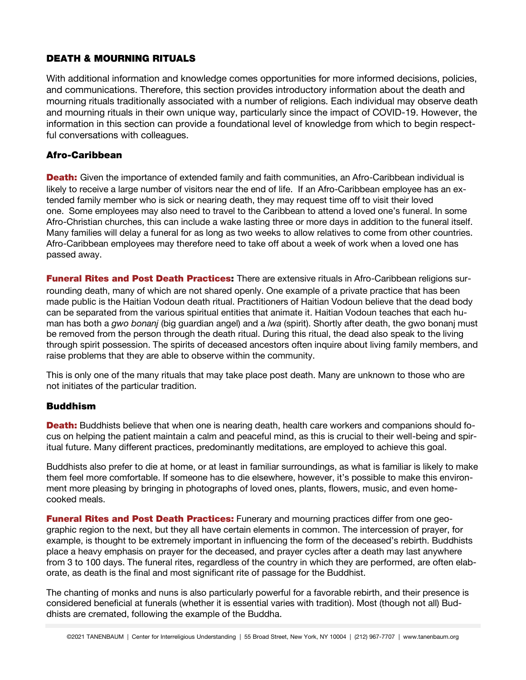# DEATH & MOURNING RITUALS

With additional information and knowledge comes opportunities for more informed decisions, policies, and communications. Therefore, this section provides introductory information about the death and mourning rituals traditionally associated with a number of religions. Each individual may observe death and mourning rituals in their own unique way, particularly since the impact of COVID-19. However, the information in this section can provide a foundational level of knowledge from which to begin respectful conversations with colleagues.

## Afro-Caribbean

**Death:** Given the importance of extended family and faith communities, an Afro-Caribbean individual is likely to receive a large number of visitors near the end of life. If an Afro-Caribbean employee has an extended family member who is sick or nearing death, they may request time off to visit their loved one. Some employees may also need to travel to the Caribbean to attend a loved one's funeral. In some Afro-Christian churches, this can include a wake lasting three or more days in addition to the funeral itself. Many families will delay a funeral for as long as two weeks to allow relatives to come from other countries. Afro-Caribbean employees may therefore need to take off about a week of work when a loved one has passed away.

**Funeral Rites and Post Death Practices:** There are extensive rituals in Afro-Caribbean religions surrounding death, many of which are not shared openly. One example of a private practice that has been made public is the Haitian Vodoun death ritual. Practitioners of Haitian Vodoun believe that the dead body can be separated from the various spiritual entities that animate it. Haitian Vodoun teaches that each human has both a *gwo bonanj* (big guardian angel) and a *lwa* (spirit). Shortly after death, the gwo bonanj must be removed from the person through the death ritual. During this ritual, the dead also speak to the living through spirit possession. The spirits of deceased ancestors often inquire about living family members, and raise problems that they are able to observe within the community.

This is only one of the many rituals that may take place post death. Many are unknown to those who are not initiates of the particular tradition.

## Buddhism

**Death:** Buddhists believe that when one is nearing death, health care workers and companions should focus on helping the patient maintain a calm and peaceful mind, as this is crucial to their well-being and spiritual future. Many different practices, predominantly meditations, are employed to achieve this goal.

Buddhists also prefer to die at home, or at least in familiar surroundings, as what is familiar is likely to make them feel more comfortable. If someone has to die elsewhere, however, it's possible to make this environment more pleasing by bringing in photographs of loved ones, plants, flowers, music, and even homecooked meals.

**Funeral Rites and Post Death Practices:** Funerary and mourning practices differ from one geographic region to the next, but they all have certain elements in common. The intercession of prayer, for example, is thought to be extremely important in influencing the form of the deceased's rebirth. Buddhists place a heavy emphasis on prayer for the deceased, and prayer cycles after a death may last anywhere from 3 to 100 days. The funeral rites, regardless of the country in which they are performed, are often elaborate, as death is the final and most significant rite of passage for the Buddhist.

The chanting of monks and nuns is also particularly powerful for a favorable rebirth, and their presence is considered beneficial at funerals (whether it is essential varies with tradition). Most (though not all) Buddhists are cremated, following the example of the Buddha.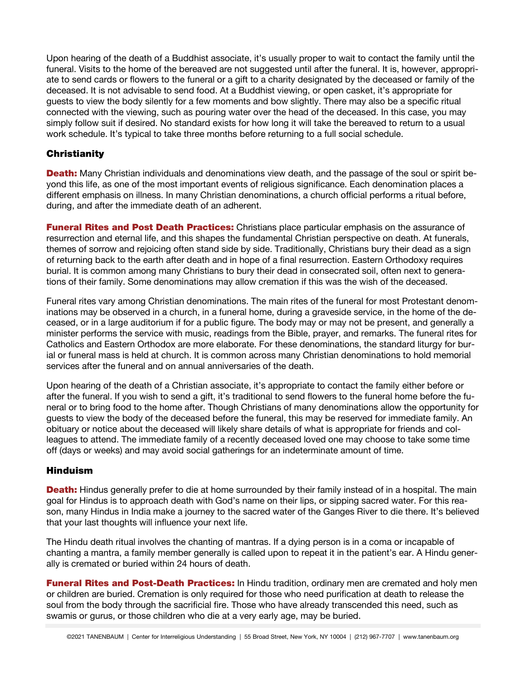Upon hearing of the death of a Buddhist associate, it's usually proper to wait to contact the family until the funeral. Visits to the home of the bereaved are not suggested until after the funeral. It is, however, appropriate to send cards or flowers to the funeral or a gift to a charity designated by the deceased or family of the deceased. It is not advisable to send food. At a Buddhist viewing, or open casket, it's appropriate for guests to view the body silently for a few moments and bow slightly. There may also be a specific ritual connected with the viewing, such as pouring water over the head of the deceased. In this case, you may simply follow suit if desired. No standard exists for how long it will take the bereaved to return to a usual work schedule. It's typical to take three months before returning to a full social schedule.

## **Christianity**

**Death:** Many Christian individuals and denominations view death, and the passage of the soul or spirit beyond this life, as one of the most important events of religious significance. Each denomination places a different emphasis on illness. In many Christian denominations, a church official performs a ritual before, during, and after the immediate death of an adherent.

**Funeral Rites and Post Death Practices:** Christians place particular emphasis on the assurance of resurrection and eternal life, and this shapes the fundamental Christian perspective on death. At funerals, themes of sorrow and rejoicing often stand side by side. Traditionally, Christians bury their dead as a sign of returning back to the earth after death and in hope of a final resurrection. Eastern Orthodoxy requires burial. It is common among many Christians to bury their dead in consecrated soil, often next to generations of their family. Some denominations may allow cremation if this was the wish of the deceased.

Funeral rites vary among Christian denominations. The main rites of the funeral for most Protestant denominations may be observed in a church, in a funeral home, during a graveside service, in the home of the deceased, or in a large auditorium if for a public figure. The body may or may not be present, and generally a minister performs the service with music, readings from the Bible, prayer, and remarks. The funeral rites for Catholics and Eastern Orthodox are more elaborate. For these denominations, the standard liturgy for burial or funeral mass is held at church. It is common across many Christian denominations to hold memorial services after the funeral and on annual anniversaries of the death.

Upon hearing of the death of a Christian associate, it's appropriate to contact the family either before or after the funeral. If you wish to send a gift, it's traditional to send flowers to the funeral home before the funeral or to bring food to the home after. Though Christians of many denominations allow the opportunity for guests to view the body of the deceased before the funeral, this may be reserved for immediate family. An obituary or notice about the deceased will likely share details of what is appropriate for friends and colleagues to attend. The immediate family of a recently deceased loved one may choose to take some time off (days or weeks) and may avoid social gatherings for an indeterminate amount of time.

## Hinduism

**Death:** Hindus generally prefer to die at home surrounded by their family instead of in a hospital. The main goal for Hindus is to approach death with God's name on their lips, or sipping sacred water. For this reason, many Hindus in India make a journey to the sacred water of the Ganges River to die there. It's believed that your last thoughts will influence your next life.

The Hindu death ritual involves the chanting of mantras. If a dying person is in a coma or incapable of chanting a mantra, a family member generally is called upon to repeat it in the patient's ear. A Hindu generally is cremated or buried within 24 hours of death.

**Funeral Rites and Post-Death Practices:** In Hindu tradition, ordinary men are cremated and holy men or children are buried. Cremation is only required for those who need purification at death to release the soul from the body through the sacrificial fire. Those who have already transcended this need, such as swamis or gurus, or those children who die at a very early age, may be buried.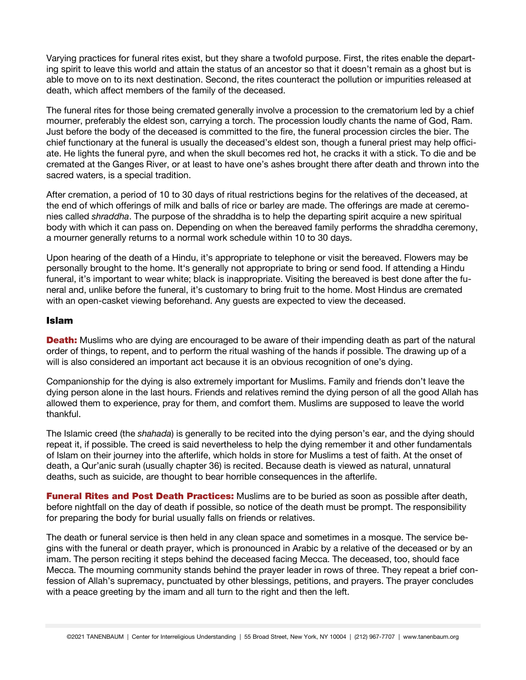Varying practices for funeral rites exist, but they share a twofold purpose. First, the rites enable the departing spirit to leave this world and attain the status of an ancestor so that it doesn't remain as a ghost but is able to move on to its next destination. Second, the rites counteract the pollution or impurities released at death, which affect members of the family of the deceased.

The funeral rites for those being cremated generally involve a procession to the crematorium led by a chief mourner, preferably the eldest son, carrying a torch. The procession loudly chants the name of God, Ram. Just before the body of the deceased is committed to the fire, the funeral procession circles the bier. The chief functionary at the funeral is usually the deceased's eldest son, though a funeral priest may help officiate. He lights the funeral pyre, and when the skull becomes red hot, he cracks it with a stick. To die and be cremated at the Ganges River, or at least to have one's ashes brought there after death and thrown into the sacred waters, is a special tradition.

After cremation, a period of 10 to 30 days of ritual restrictions begins for the relatives of the deceased, at the end of which offerings of milk and balls of rice or barley are made. The offerings are made at ceremonies called *shraddha*. The purpose of the shraddha is to help the departing spirit acquire a new spiritual body with which it can pass on. Depending on when the bereaved family performs the shraddha ceremony, a mourner generally returns to a normal work schedule within 10 to 30 days.

Upon hearing of the death of a Hindu, it's appropriate to telephone or visit the bereaved. Flowers may be personally brought to the home. It's generally not appropriate to bring or send food. If attending a Hindu funeral, it's important to wear white; black is inappropriate. Visiting the bereaved is best done after the funeral and, unlike before the funeral, it's customary to bring fruit to the home. Most Hindus are cremated with an open-casket viewing beforehand. Any guests are expected to view the deceased.

#### Islam

**Death:** Muslims who are dying are encouraged to be aware of their impending death as part of the natural order of things, to repent, and to perform the ritual washing of the hands if possible. The drawing up of a will is also considered an important act because it is an obvious recognition of one's dying.

Companionship for the dying is also extremely important for Muslims. Family and friends don't leave the dying person alone in the last hours. Friends and relatives remind the dying person of all the good Allah has allowed them to experience, pray for them, and comfort them. Muslims are supposed to leave the world thankful.

The Islamic creed (the *shahada*) is generally to be recited into the dying person's ear, and the dying should repeat it, if possible. The creed is said nevertheless to help the dying remember it and other fundamentals of Islam on their journey into the afterlife, which holds in store for Muslims a test of faith. At the onset of death, a Qur'anic surah (usually chapter 36) is recited. Because death is viewed as natural, unnatural deaths, such as suicide, are thought to bear horrible consequences in the afterlife.

**Funeral Rites and Post Death Practices:** Muslims are to be buried as soon as possible after death, before nightfall on the day of death if possible, so notice of the death must be prompt. The responsibility for preparing the body for burial usually falls on friends or relatives.

The death or funeral service is then held in any clean space and sometimes in a mosque. The service begins with the funeral or death prayer, which is pronounced in Arabic by a relative of the deceased or by an imam. The person reciting it steps behind the deceased facing Mecca. The deceased, too, should face Mecca. The mourning community stands behind the prayer leader in rows of three. They repeat a brief confession of Allah's supremacy, punctuated by other blessings, petitions, and prayers. The prayer concludes with a peace greeting by the imam and all turn to the right and then the left.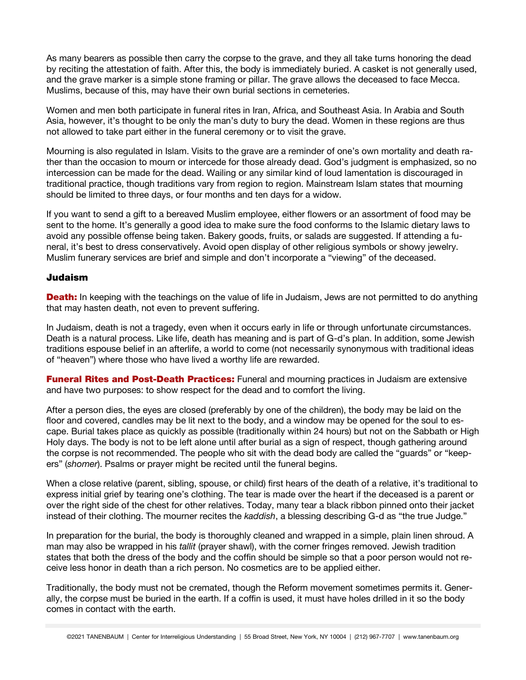As many bearers as possible then carry the corpse to the grave, and they all take turns honoring the dead by reciting the attestation of faith. After this, the body is immediately buried. A casket is not generally used, and the grave marker is a simple stone framing or pillar. The grave allows the deceased to face Mecca. Muslims, because of this, may have their own burial sections in cemeteries.

Women and men both participate in funeral rites in Iran, Africa, and Southeast Asia. In Arabia and South Asia, however, it's thought to be only the man's duty to bury the dead. Women in these regions are thus not allowed to take part either in the funeral ceremony or to visit the grave.

Mourning is also regulated in Islam. Visits to the grave are a reminder of one's own mortality and death rather than the occasion to mourn or intercede for those already dead. God's judgment is emphasized, so no intercession can be made for the dead. Wailing or any similar kind of loud lamentation is discouraged in traditional practice, though traditions vary from region to region. Mainstream Islam states that mourning should be limited to three days, or four months and ten days for a widow.

If you want to send a gift to a bereaved Muslim employee, either flowers or an assortment of food may be sent to the home. It's generally a good idea to make sure the food conforms to the Islamic dietary laws to avoid any possible offense being taken. Bakery goods, fruits, or salads are suggested. If attending a funeral, it's best to dress conservatively. Avoid open display of other religious symbols or showy jewelry. Muslim funerary services are brief and simple and don't incorporate a "viewing" of the deceased.

#### Judaism

**Death:** In keeping with the teachings on the value of life in Judaism, Jews are not permitted to do anything that may hasten death, not even to prevent suffering.

In Judaism, death is not a tragedy, even when it occurs early in life or through unfortunate circumstances. Death is a natural process. Like life, death has meaning and is part of G-d's plan. In addition, some Jewish traditions espouse belief in an afterlife, a world to come (not necessarily synonymous with traditional ideas of "heaven") where those who have lived a worthy life are rewarded.

**Funeral Rites and Post-Death Practices:** Funeral and mourning practices in Judaism are extensive and have two purposes: to show respect for the dead and to comfort the living.

After a person dies, the eyes are closed (preferably by one of the children), the body may be laid on the floor and covered, candles may be lit next to the body, and a window may be opened for the soul to escape. Burial takes place as quickly as possible (traditionally within 24 hours) but not on the Sabbath or High Holy days. The body is not to be left alone until after burial as a sign of respect, though gathering around the corpse is not recommended. The people who sit with the dead body are called the "guards" or "keepers" (*shomer*). Psalms or prayer might be recited until the funeral begins.

When a close relative (parent, sibling, spouse, or child) first hears of the death of a relative, it's traditional to express initial grief by tearing one's clothing. The tear is made over the heart if the deceased is a parent or over the right side of the chest for other relatives. Today, many tear a black ribbon pinned onto their jacket instead of their clothing. The mourner recites the *kaddish*, a blessing describing G-d as "the true Judge."

In preparation for the burial, the body is thoroughly cleaned and wrapped in a simple, plain linen shroud. A man may also be wrapped in his *tallit* (prayer shawl), with the corner fringes removed. Jewish tradition states that both the dress of the body and the coffin should be simple so that a poor person would not receive less honor in death than a rich person. No cosmetics are to be applied either.

Traditionally, the body must not be cremated, though the Reform movement sometimes permits it. Generally, the corpse must be buried in the earth. If a coffin is used, it must have holes drilled in it so the body comes in contact with the earth.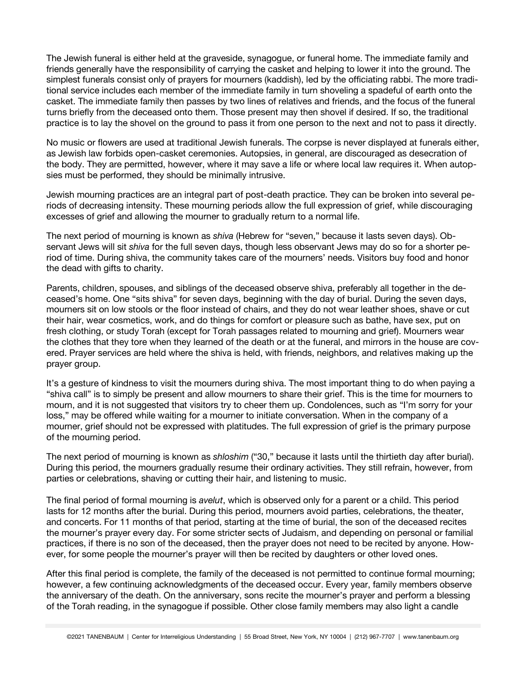The Jewish funeral is either held at the graveside, synagogue, or funeral home. The immediate family and friends generally have the responsibility of carrying the casket and helping to lower it into the ground. The simplest funerals consist only of prayers for mourners (kaddish), led by the officiating rabbi. The more traditional service includes each member of the immediate family in turn shoveling a spadeful of earth onto the casket. The immediate family then passes by two lines of relatives and friends, and the focus of the funeral turns briefly from the deceased onto them. Those present may then shovel if desired. If so, the traditional practice is to lay the shovel on the ground to pass it from one person to the next and not to pass it directly.

No music or flowers are used at traditional Jewish funerals. The corpse is never displayed at funerals either, as Jewish law forbids open-casket ceremonies. Autopsies, in general, are discouraged as desecration of the body. They are permitted, however, where it may save a life or where local law requires it. When autopsies must be performed, they should be minimally intrusive.

Jewish mourning practices are an integral part of post-death practice. They can be broken into several periods of decreasing intensity. These mourning periods allow the full expression of grief, while discouraging excesses of grief and allowing the mourner to gradually return to a normal life.

The next period of mourning is known as *shiva* (Hebrew for "seven," because it lasts seven days). Observant Jews will sit *shiva* for the full seven days, though less observant Jews may do so for a shorter period of time. During shiva, the community takes care of the mourners' needs. Visitors buy food and honor the dead with gifts to charity.

Parents, children, spouses, and siblings of the deceased observe shiva, preferably all together in the deceased's home. One "sits shiva" for seven days, beginning with the day of burial. During the seven days, mourners sit on low stools or the floor instead of chairs, and they do not wear leather shoes, shave or cut their hair, wear cosmetics, work, and do things for comfort or pleasure such as bathe, have sex, put on fresh clothing, or study Torah (except for Torah passages related to mourning and grief). Mourners wear the clothes that they tore when they learned of the death or at the funeral, and mirrors in the house are covered. Prayer services are held where the shiva is held, with friends, neighbors, and relatives making up the prayer group.

It's a gesture of kindness to visit the mourners during shiva. The most important thing to do when paying a "shiva call" is to simply be present and allow mourners to share their grief. This is the time for mourners to mourn, and it is not suggested that visitors try to cheer them up. Condolences, such as "I'm sorry for your loss," may be offered while waiting for a mourner to initiate conversation. When in the company of a mourner, grief should not be expressed with platitudes. The full expression of grief is the primary purpose of the mourning period.

The next period of mourning is known as *shloshim* ("30," because it lasts until the thirtieth day after burial). During this period, the mourners gradually resume their ordinary activities. They still refrain, however, from parties or celebrations, shaving or cutting their hair, and listening to music.

The final period of formal mourning is *avelut*, which is observed only for a parent or a child. This period lasts for 12 months after the burial. During this period, mourners avoid parties, celebrations, the theater, and concerts. For 11 months of that period, starting at the time of burial, the son of the deceased recites the mourner's prayer every day. For some stricter sects of Judaism, and depending on personal or familial practices, if there is no son of the deceased, then the prayer does not need to be recited by anyone. However, for some people the mourner's prayer will then be recited by daughters or other loved ones.

After this final period is complete, the family of the deceased is not permitted to continue formal mourning; however, a few continuing acknowledgments of the deceased occur. Every year, family members observe the anniversary of the death. On the anniversary, sons recite the mourner's prayer and perform a blessing of the Torah reading, in the synagogue if possible. Other close family members may also light a candle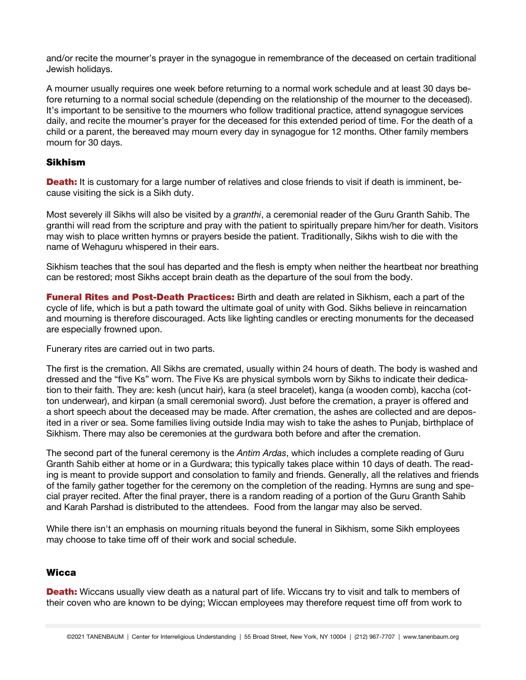and/or recite the mourner's prayer in the synagogue in remembrance of the deceased on certain traditional Jewish holidays.

A mourner usually requires one week before returning to a normal work schedule and at least 30 days before returning to a normal social schedule (depending on the relationship of the mourner to the deceased). It's important to be sensitive to the mourners who follow traditional practice, attend synagogue services daily, and recite the mourner's prayer for the deceased for this extended period of time. For the death of a child or a parent, the bereaved may mourn every day in synagogue for 12 months. Other family members mourn for 30 days.

### Sikhism

**Death:** It is customary for a large number of relatives and close friends to visit if death is imminent, because visiting the sick is a Sikh duty.

Most severely ill Sikhs will also be visited by a *granthi*, a ceremonial reader of the Guru Granth Sahib. The granthi will read from the scripture and pray with the patient to spiritually prepare him/her for death. Visitors may wish to place written hymns or prayers beside the patient. Traditionally, Sikhs wish to die with the name of Wehaguru whispered in their ears.

Sikhism teaches that the soul has departed and the flesh is empty when neither the heartbeat nor breathing can be restored; most Sikhs accept brain death as the departure of the soul from the body.

**Funeral Rites and Post-Death Practices:** Birth and death are related in Sikhism, each a part of the cycle of life, which is but a path toward the ultimate goal of unity with God. Sikhs believe in reincarnation and mourning is therefore discouraged. Acts like lighting candles or erecting monuments for the deceased are especially frowned upon.

Funerary rites are carried out in two parts.

The first is the cremation. All Sikhs are cremated, usually within 24 hours of death. The body is washed and dressed and the "five Ks" worn. The Five Ks are physical symbols worn by Sikhs to indicate their dedication to their faith. They are: kesh (uncut hair), kara (a steel bracelet), kanga (a wooden comb), kaccha (cotton underwear), and kirpan (a small ceremonial sword). Just before the cremation, a prayer is offered and a short speech about the deceased may be made. After cremation, the ashes are collected and are deposited in a river or sea. Some families living outside India may wish to take the ashes to Punjab, birthplace of Sikhism. There may also be ceremonies at the gurdwara both before and after the cremation.

The second part of the funeral ceremony is the *Antim Ardas*, which includes a complete reading of Guru Granth Sahib either at home or in a Gurdwara; this typically takes place within 10 days of death. The reading is meant to provide support and consolation to family and friends. Generally, all the relatives and friends of the family gather together for the ceremony on the completion of the reading. Hymns are sung and special prayer recited. After the final prayer, there is a random reading of a portion of the Guru Granth Sahib and Karah Parshad is distributed to the attendees. Food from the langar may also be served.

While there isn't an emphasis on mourning rituals beyond the funeral in Sikhism, some Sikh employees may choose to take time off of their work and social schedule.

### **Wicca**

**Death:** Wiccans usually view death as a natural part of life. Wiccans try to visit and talk to members of their coven who are known to be dying; Wiccan employees may therefore request time off from work to